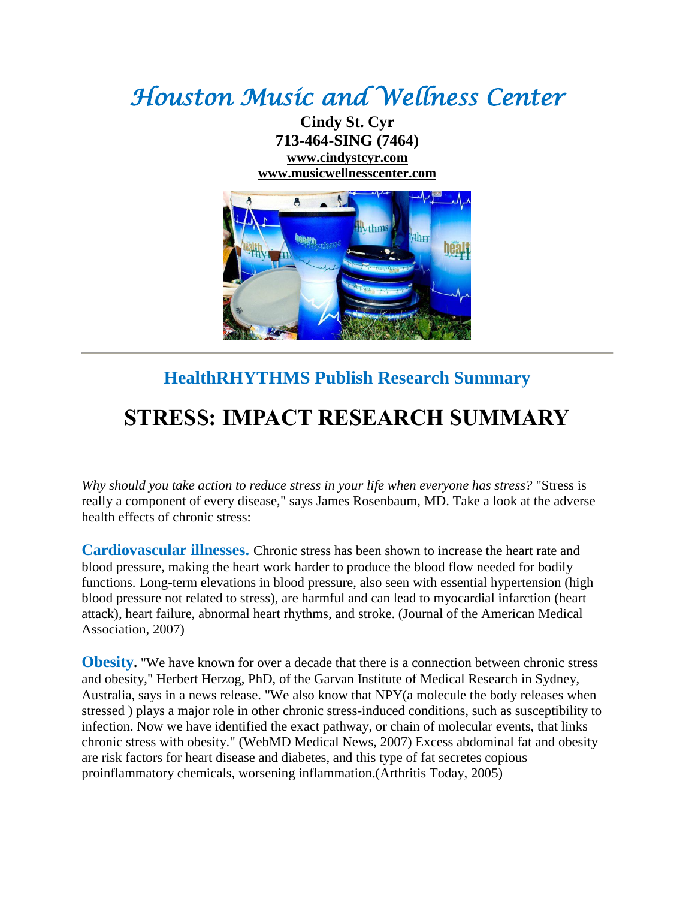## *Houston Music and Wellness Center*

**Cindy St. Cyr 713-464-SING (7464) [www.cindystcyr.com](http://www.cindystcyr.com/) [www.musicwellnesscenter.com](http://www.musicwellnesscenter.com/)**



## **HealthRHYTHMS Publish Research Summary**

## **STRESS: IMPACT RESEARCH SUMMARY**

*Why should you take action to reduce stress in your life when everyone has stress?* "Stress is really a component of every disease," says James Rosenbaum, MD. Take a look at the adverse health effects of chronic stress:

**Cardiovascular illnesses.** Chronic stress has been shown to increase the heart rate and blood pressure, making the heart work harder to produce the blood flow needed for bodily functions. Long-term elevations in blood pressure, also seen with essential hypertension (high blood pressure not related to stress), are harmful and can lead to myocardial infarction (heart attack), heart failure, abnormal heart rhythms, and stroke. (Journal of the American Medical Association, 2007)

**Obesity.** "We have known for over a decade that there is a connection between chronic stress and obesity," Herbert Herzog, PhD, of the Garvan Institute of Medical Research in Sydney, Australia, says in a news release. "We also know that NPY(a molecule the body releases when stressed ) plays a major role in other chronic stress-induced conditions, such as susceptibility to infection. Now we have identified the exact pathway, or chain of molecular events, that links chronic stress with obesity." (WebMD Medical News, 2007) Excess abdominal fat and obesity are risk factors for heart disease and diabetes, and this type of fat secretes copious proinflammatory chemicals, worsening inflammation.(Arthritis Today, 2005)